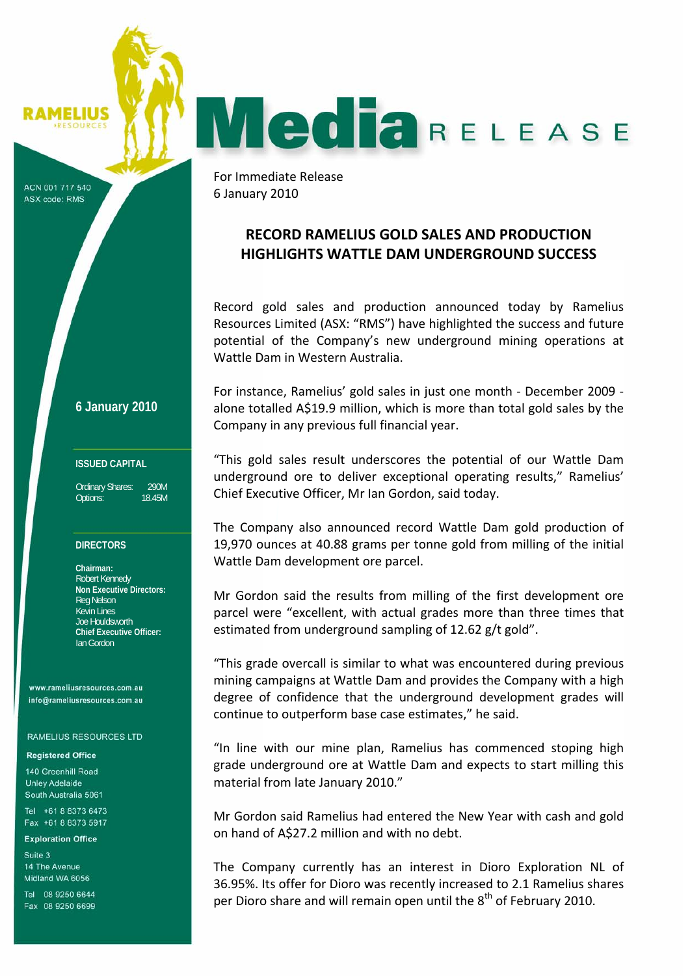MELIUS

ACN 001 717 540 ASX code: RMS

**6 January 2010**

### **ISSUED CAPITAL**

Ordinary Shares: 290M Options: 18.45M

#### **DIRECTORS**

**Chairman:**  Robert Kennedy **Non Executive Directors:**  Reg Nelson Kevin Lines Joe Houldsworth **Chief Executive Officer:**  Ian Gordon

www.rameliusresources.com.au info@rameliusresources.com.au

#### **RAMELIUS RESOURCES LTD**

#### **Registered Office**

140 Greenhill Road **Unley Adelaide** South Australia 5061

Tel +61 8 8373 6473 Fax +61 8 8373 5917

#### **Exploration Office**

Suite 3 14 The Avenue Midland WA 6056

Tel 08 9250 6644 Fax 08 9250 6699

For Immediate Release 6 January 2010

# **RECORD RAMELIUS GOLD SALES AND PRODUCTION HIGHLIGHTS WATTLE DAM UNDERGROUND SUCCESS**

**MediaRELEASE** 

Record gold sales and production announced today by Ramelius Resources Limited (ASX: "RMS") have highlighted the success and future potential of the Company's new underground mining operations at Wattle Dam in Western Australia.

For instance, Ramelius' gold sales in just one month ‐ December 2009 ‐ alone totalled A\$19.9 million, which is more than total gold sales by the Company in any previous full financial year.

"This gold sales result underscores the potential of our Wattle Dam underground ore to deliver exceptional operating results," Ramelius' Chief Executive Officer, Mr Ian Gordon, said today.

The Company also announced record Wattle Dam gold production of 19,970 ounces at 40.88 grams per tonne gold from milling of the initial Wattle Dam development ore parcel.

Mr Gordon said the results from milling of the first development ore parcel were "excellent, with actual grades more than three times that estimated from underground sampling of 12.62 g/t gold".

"This grade overcall is similar to what was encountered during previous mining campaigns at Wattle Dam and provides the Company with a high degree of confidence that the underground development grades will continue to outperform base case estimates," he said.

"In line with our mine plan, Ramelius has commenced stoping high grade underground ore at Wattle Dam and expects to start milling this material from late January 2010."

Mr Gordon said Ramelius had entered the New Year with cash and gold on hand of A\$27.2 million and with no debt.

The Company currently has an interest in Dioro Exploration NL of 36.95%. Its offer for Dioro was recently increased to 2.1 Ramelius shares per Dioro share and will remain open until the  $8^{th}$  of February 2010.